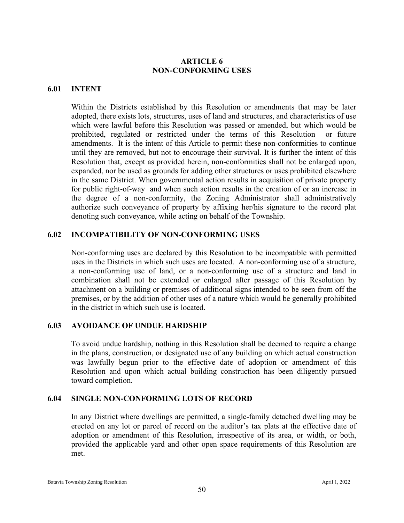# **ARTICLE 6 NON-CONFORMING USES**

# **6.01 INTENT**

Within the Districts established by this Resolution or amendments that may be later adopted, there exists lots, structures, uses of land and structures, and characteristics of use which were lawful before this Resolution was passed or amended, but which would be prohibited, regulated or restricted under the terms of this Resolution or future amendments. It is the intent of this Article to permit these non-conformities to continue until they are removed, but not to encourage their survival. It is further the intent of this Resolution that, except as provided herein, non-conformities shall not be enlarged upon, expanded, nor be used as grounds for adding other structures or uses prohibited elsewhere in the same District. When governmental action results in acquisition of private property for public right-of-way and when such action results in the creation of or an increase in the degree of a non-conformity, the Zoning Administrator shall administratively authorize such conveyance of property by affixing her/his signature to the record plat denoting such conveyance, while acting on behalf of the Township.

# **6.02 INCOMPATIBILITY OF NON-CONFORMING USES**

Non-conforming uses are declared by this Resolution to be incompatible with permitted uses in the Districts in which such uses are located. A non-conforming use of a structure, a non-conforming use of land, or a non-conforming use of a structure and land in combination shall not be extended or enlarged after passage of this Resolution by attachment on a building or premises of additional signs intended to be seen from off the premises, or by the addition of other uses of a nature which would be generally prohibited in the district in which such use is located.

# **6.03 AVOIDANCE OF UNDUE HARDSHIP**

To avoid undue hardship, nothing in this Resolution shall be deemed to require a change in the plans, construction, or designated use of any building on which actual construction was lawfully begun prior to the effective date of adoption or amendment of this Resolution and upon which actual building construction has been diligently pursued toward completion.

#### **6.04 SINGLE NON-CONFORMING LOTS OF RECORD**

In any District where dwellings are permitted, a single-family detached dwelling may be erected on any lot or parcel of record on the auditor's tax plats at the effective date of adoption or amendment of this Resolution, irrespective of its area, or width, or both, provided the applicable yard and other open space requirements of this Resolution are met.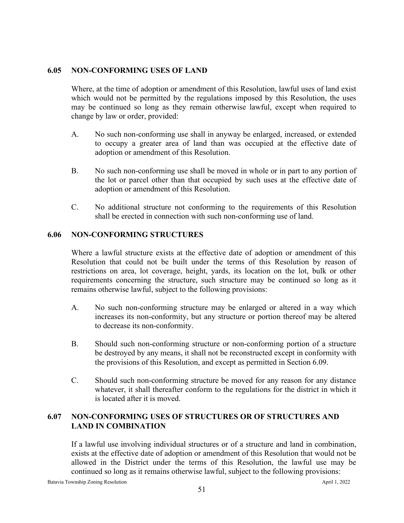# **6.05 NON-CONFORMING USES OF LAND**

Where, at the time of adoption or amendment of this Resolution, lawful uses of land exist which would not be permitted by the regulations imposed by this Resolution, the uses may be continued so long as they remain otherwise lawful, except when required to change by law or order, provided:

- A. No such non-conforming use shall in anyway be enlarged, increased, or extended to occupy a greater area of land than was occupied at the effective date of adoption or amendment of this Resolution.
- B. No such non-conforming use shall be moved in whole or in part to any portion of the lot or parcel other than that occupied by such uses at the effective date of adoption or amendment of this Resolution.
- C. No additional structure not conforming to the requirements of this Resolution shall be erected in connection with such non-conforming use of land.

# **6.06 NON-CONFORMING STRUCTURES**

Where a lawful structure exists at the effective date of adoption or amendment of this Resolution that could not be built under the terms of this Resolution by reason of restrictions on area, lot coverage, height, yards, its location on the lot, bulk or other requirements concerning the structure, such structure may be continued so long as it remains otherwise lawful, subject to the following provisions:

- A. No such non-conforming structure may be enlarged or altered in a way which increases its non-conformity, but any structure or portion thereof may be altered to decrease its non-conformity.
- B. Should such non-conforming structure or non-conforming portion of a structure be destroyed by any means, it shall not be reconstructed except in conformity with the provisions of this Resolution, and except as permitted in Section 6.09.
- C. Should such non-conforming structure be moved for any reason for any distance whatever, it shall thereafter conform to the regulations for the district in which it is located after it is moved.

# **6.07 NON-CONFORMING USES OF STRUCTURES OR OF STRUCTURES AND LAND IN COMBINATION**

If a lawful use involving individual structures or of a structure and land in combination, exists at the effective date of adoption or amendment of this Resolution that would not be allowed in the District under the terms of this Resolution, the lawful use may be continued so long as it remains otherwise lawful, subject to the following provisions: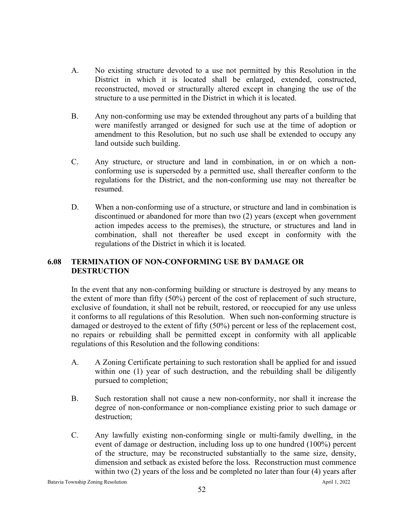- A. No existing structure devoted to a use not permitted by this Resolution in the District in which it is located shall be enlarged, extended, constructed, reconstructed, moved or structurally altered except in changing the use of the structure to a use permitted in the District in which it is located.
- B. Any non-conforming use may be extended throughout any parts of a building that were manifestly arranged or designed for such use at the time of adoption or amendment to this Resolution, but no such use shall be extended to occupy any land outside such building.
- C. Any structure, or structure and land in combination, in or on which a nonconforming use is superseded by a permitted use, shall thereafter conform to the regulations for the District, and the non-conforming use may not thereafter be resumed.
- D. When a non-conforming use of a structure, or structure and land in combination is discontinued or abandoned for more than two (2) years (except when government action impedes access to the premises), the structure, or structures and land in combination, shall not thereafter be used except in conformity with the regulations of the District in which it is located.

# **6.08 TERMINATION OF NON-CONFORMING USE BY DAMAGE OR DESTRUCTION**

In the event that any non-conforming building or structure is destroyed by any means to the extent of more than fifty (50%) percent of the cost of replacement of such structure, exclusive of foundation, it shall not be rebuilt, restored, or reoccupied for any use unless it conforms to all regulations of this Resolution. When such non-conforming structure is damaged or destroyed to the extent of fifty (50%) percent or less of the replacement cost, no repairs or rebuilding shall be permitted except in conformity with all applicable regulations of this Resolution and the following conditions:

- A. A Zoning Certificate pertaining to such restoration shall be applied for and issued within one (1) year of such destruction, and the rebuilding shall be diligently pursued to completion;
- B. Such restoration shall not cause a new non-conformity, nor shall it increase the degree of non-conformance or non-compliance existing prior to such damage or destruction;
- C. Any lawfully existing non-conforming single or multi-family dwelling, in the event of damage or destruction, including loss up to one hundred (100%) percent of the structure, may be reconstructed substantially to the same size, density, dimension and setback as existed before the loss. Reconstruction must commence within two (2) years of the loss and be completed no later than four (4) years after